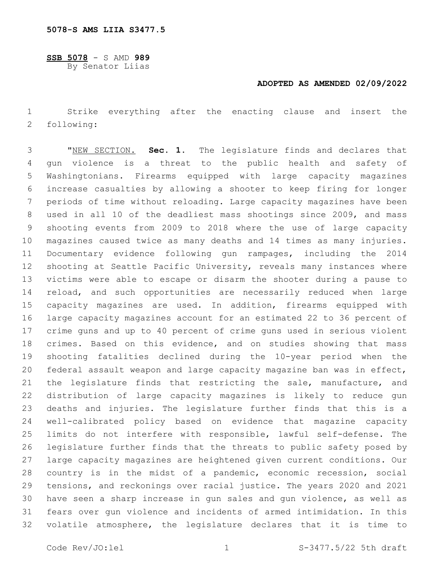**SSB 5078** - S AMD **989** By Senator Liias

## **ADOPTED AS AMENDED 02/09/2022**

 Strike everything after the enacting clause and insert the 2 following:

 "NEW SECTION. **Sec. 1.** The legislature finds and declares that gun violence is a threat to the public health and safety of Washingtonians. Firearms equipped with large capacity magazines increase casualties by allowing a shooter to keep firing for longer periods of time without reloading. Large capacity magazines have been used in all 10 of the deadliest mass shootings since 2009, and mass shooting events from 2009 to 2018 where the use of large capacity magazines caused twice as many deaths and 14 times as many injuries. Documentary evidence following gun rampages, including the 2014 shooting at Seattle Pacific University, reveals many instances where victims were able to escape or disarm the shooter during a pause to 14 reload, and such opportunities are necessarily reduced when large capacity magazines are used. In addition, firearms equipped with large capacity magazines account for an estimated 22 to 36 percent of crime guns and up to 40 percent of crime guns used in serious violent crimes. Based on this evidence, and on studies showing that mass shooting fatalities declined during the 10-year period when the federal assault weapon and large capacity magazine ban was in effect, 21 the legislature finds that restricting the sale, manufacture, and distribution of large capacity magazines is likely to reduce gun deaths and injuries. The legislature further finds that this is a well-calibrated policy based on evidence that magazine capacity limits do not interfere with responsible, lawful self-defense. The legislature further finds that the threats to public safety posed by large capacity magazines are heightened given current conditions. Our country is in the midst of a pandemic, economic recession, social tensions, and reckonings over racial justice. The years 2020 and 2021 have seen a sharp increase in gun sales and gun violence, as well as fears over gun violence and incidents of armed intimidation. In this volatile atmosphere, the legislature declares that it is time to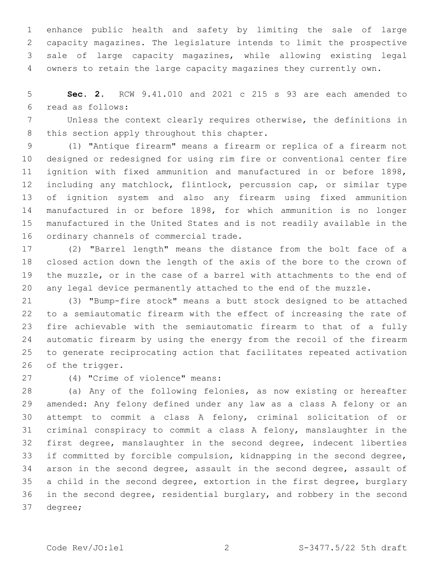enhance public health and safety by limiting the sale of large capacity magazines. The legislature intends to limit the prospective sale of large capacity magazines, while allowing existing legal owners to retain the large capacity magazines they currently own.

 **Sec. 2.** RCW 9.41.010 and 2021 c 215 s 93 are each amended to read as follows:6

 Unless the context clearly requires otherwise, the definitions in 8 this section apply throughout this chapter.

 (1) "Antique firearm" means a firearm or replica of a firearm not designed or redesigned for using rim fire or conventional center fire ignition with fixed ammunition and manufactured in or before 1898, including any matchlock, flintlock, percussion cap, or similar type of ignition system and also any firearm using fixed ammunition manufactured in or before 1898, for which ammunition is no longer manufactured in the United States and is not readily available in the 16 ordinary channels of commercial trade.

 (2) "Barrel length" means the distance from the bolt face of a closed action down the length of the axis of the bore to the crown of the muzzle, or in the case of a barrel with attachments to the end of any legal device permanently attached to the end of the muzzle.

 (3) "Bump-fire stock" means a butt stock designed to be attached to a semiautomatic firearm with the effect of increasing the rate of fire achievable with the semiautomatic firearm to that of a fully automatic firearm by using the energy from the recoil of the firearm to generate reciprocating action that facilitates repeated activation 26 of the trigger.

(4) "Crime of violence" means:27

 (a) Any of the following felonies, as now existing or hereafter amended: Any felony defined under any law as a class A felony or an attempt to commit a class A felony, criminal solicitation of or criminal conspiracy to commit a class A felony, manslaughter in the first degree, manslaughter in the second degree, indecent liberties if committed by forcible compulsion, kidnapping in the second degree, arson in the second degree, assault in the second degree, assault of a child in the second degree, extortion in the first degree, burglary in the second degree, residential burglary, and robbery in the second 37 degree;

Code Rev/JO:lel 2 S-3477.5/22 5th draft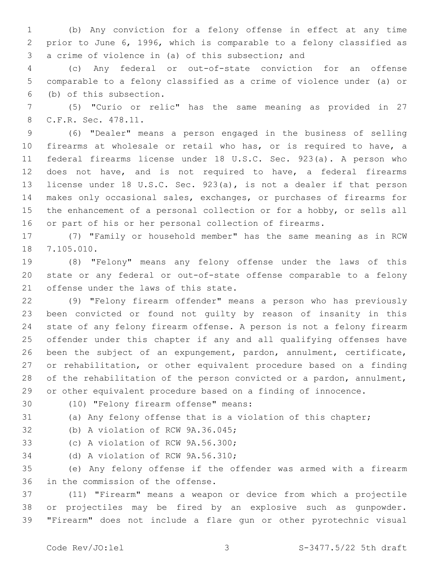(b) Any conviction for a felony offense in effect at any time prior to June 6, 1996, which is comparable to a felony classified as 3 a crime of violence in (a) of this subsection; and

 (c) Any federal or out-of-state conviction for an offense comparable to a felony classified as a crime of violence under (a) or (b) of this subsection.6

 (5) "Curio or relic" has the same meaning as provided in 27 8 C.F.R. Sec. 478.11.

 (6) "Dealer" means a person engaged in the business of selling firearms at wholesale or retail who has, or is required to have, a federal firearms license under 18 U.S.C. Sec. 923(a). A person who does not have, and is not required to have, a federal firearms license under 18 U.S.C. Sec. 923(a), is not a dealer if that person makes only occasional sales, exchanges, or purchases of firearms for the enhancement of a personal collection or for a hobby, or sells all or part of his or her personal collection of firearms.

 (7) "Family or household member" has the same meaning as in RCW 18 7.105.010.

 (8) "Felony" means any felony offense under the laws of this state or any federal or out-of-state offense comparable to a felony 21 offense under the laws of this state.

 (9) "Felony firearm offender" means a person who has previously been convicted or found not guilty by reason of insanity in this state of any felony firearm offense. A person is not a felony firearm offender under this chapter if any and all qualifying offenses have been the subject of an expungement, pardon, annulment, certificate, or rehabilitation, or other equivalent procedure based on a finding of the rehabilitation of the person convicted or a pardon, annulment, or other equivalent procedure based on a finding of innocence.

30 (10) "Felony firearm offense" means:

(a) Any felony offense that is a violation of this chapter;

32 (b) A violation of RCW 9A.36.045;

33 (c) A violation of RCW 9A.56.300;

34 (d) A violation of RCW 9A.56.310;

 (e) Any felony offense if the offender was armed with a firearm 36 in the commission of the offense.

 (11) "Firearm" means a weapon or device from which a projectile or projectiles may be fired by an explosive such as gunpowder. "Firearm" does not include a flare gun or other pyrotechnic visual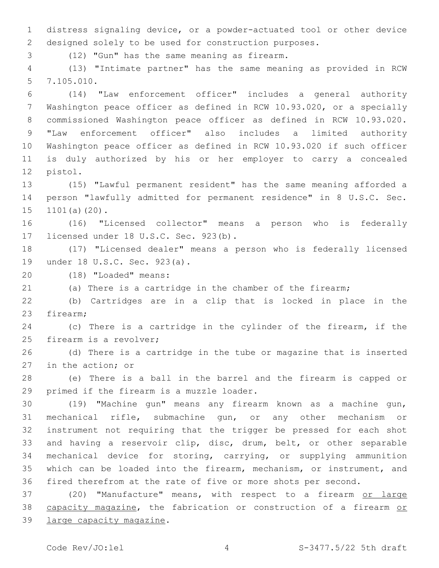distress signaling device, or a powder-actuated tool or other device designed solely to be used for construction purposes.

(12) "Gun" has the same meaning as firearm.3

 (13) "Intimate partner" has the same meaning as provided in RCW 7.105.010.5

 (14) "Law enforcement officer" includes a general authority Washington peace officer as defined in RCW 10.93.020, or a specially commissioned Washington peace officer as defined in RCW 10.93.020. "Law enforcement officer" also includes a limited authority Washington peace officer as defined in RCW 10.93.020 if such officer is duly authorized by his or her employer to carry a concealed 12 pistol.

 (15) "Lawful permanent resident" has the same meaning afforded a person "lawfully admitted for permanent residence" in 8 U.S.C. Sec. 1101(a)(20).

 (16) "Licensed collector" means a person who is federally 17 licensed under 18 U.S.C. Sec. 923(b).

 (17) "Licensed dealer" means a person who is federally licensed 19 under 18 U.S.C. Sec. 923(a).

(18) "Loaded" means:20

(a) There is a cartridge in the chamber of the firearm;

 (b) Cartridges are in a clip that is locked in place in the 23 firearm;

 (c) There is a cartridge in the cylinder of the firearm, if the 25 firearm is a revolver;

 (d) There is a cartridge in the tube or magazine that is inserted 27 in the action; or

 (e) There is a ball in the barrel and the firearm is capped or 29 primed if the firearm is a muzzle loader.

 (19) "Machine gun" means any firearm known as a machine gun, mechanical rifle, submachine gun, or any other mechanism or instrument not requiring that the trigger be pressed for each shot and having a reservoir clip, disc, drum, belt, or other separable mechanical device for storing, carrying, or supplying ammunition which can be loaded into the firearm, mechanism, or instrument, and fired therefrom at the rate of five or more shots per second.

37 (20) "Manufacture" means, with respect to a firearm or large 38 capacity magazine, the fabrication or construction of a firearm or 39 large capacity magazine.

Code  $\text{Rev}/\text{JO:lel}$   $4$   $\text{S}-3477.5/22$  5th draft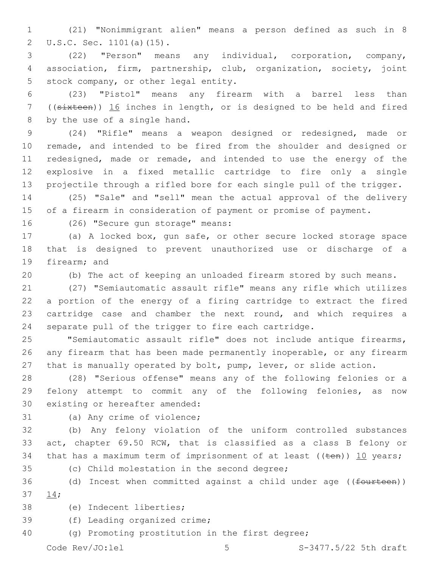(21) "Nonimmigrant alien" means a person defined as such in 8 2 U.S.C. Sec. 1101(a)(15).

 (22) "Person" means any individual, corporation, company, association, firm, partnership, club, organization, society, joint 5 stock company, or other legal entity.

 (23) "Pistol" means any firearm with a barrel less than ((sixteen)) 16 inches in length, or is designed to be held and fired 8 by the use of a single hand.

 (24) "Rifle" means a weapon designed or redesigned, made or remade, and intended to be fired from the shoulder and designed or 11 redesigned, made or remade, and intended to use the energy of the explosive in a fixed metallic cartridge to fire only a single projectile through a rifled bore for each single pull of the trigger.

 (25) "Sale" and "sell" mean the actual approval of the delivery of a firearm in consideration of payment or promise of payment.

16 (26) "Secure gun storage" means:

 (a) A locked box, gun safe, or other secure locked storage space that is designed to prevent unauthorized use or discharge of a 19 firearm; and

(b) The act of keeping an unloaded firearm stored by such means.

 (27) "Semiautomatic assault rifle" means any rifle which utilizes a portion of the energy of a firing cartridge to extract the fired cartridge case and chamber the next round, and which requires a separate pull of the trigger to fire each cartridge.

 "Semiautomatic assault rifle" does not include antique firearms, any firearm that has been made permanently inoperable, or any firearm 27 that is manually operated by bolt, pump, lever, or slide action.

 (28) "Serious offense" means any of the following felonies or a felony attempt to commit any of the following felonies, as now 30 existing or hereafter amended:

## 31 (a) Any crime of violence;

 (b) Any felony violation of the uniform controlled substances act, chapter 69.50 RCW, that is classified as a class B felony or 34 that has a maximum term of imprisonment of at least  $((\text{ten}))$  10 years;

35 (c) Child molestation in the second degree;

36 (d) Incest when committed against a child under age ((fourteen)) 14;37

38 (e) Indecent liberties;

39 (f) Leading organized crime;

(g) Promoting prostitution in the first degree;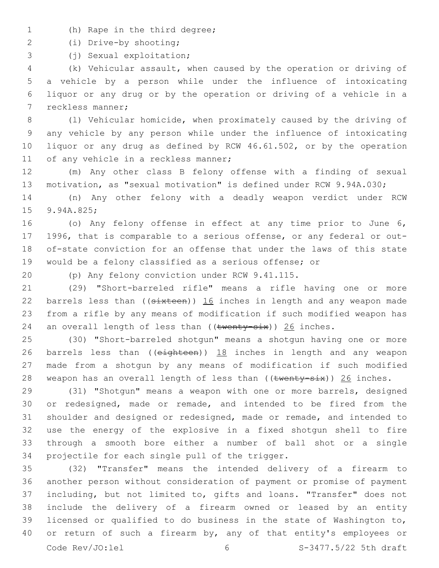- 1 (h) Rape in the third degree;
- (i) Drive-by shooting;2

(j) Sexual exploitation;3

 (k) Vehicular assault, when caused by the operation or driving of a vehicle by a person while under the influence of intoxicating liquor or any drug or by the operation or driving of a vehicle in a 7 reckless manner;

 (l) Vehicular homicide, when proximately caused by the driving of any vehicle by any person while under the influence of intoxicating liquor or any drug as defined by RCW 46.61.502, or by the operation 11 of any vehicle in a reckless manner;

 (m) Any other class B felony offense with a finding of sexual motivation, as "sexual motivation" is defined under RCW 9.94A.030;

 (n) Any other felony with a deadly weapon verdict under RCW 15 9.94A.825;

 (o) Any felony offense in effect at any time prior to June 6, 1996, that is comparable to a serious offense, or any federal or out- of-state conviction for an offense that under the laws of this state would be a felony classified as a serious offense; or

(p) Any felony conviction under RCW 9.41.115.20

 (29) "Short-barreled rifle" means a rifle having one or more 22 barrels less than  $($  (sixteen) )  $16$  inches in length and any weapon made from a rifle by any means of modification if such modified weapon has 24 an overall length of less than  $((\text{twenty-six}))$  26 inches.

 (30) "Short-barreled shotgun" means a shotgun having one or more 26 barrels less than ((eighteen)) 18 inches in length and any weapon made from a shotgun by any means of modification if such modified 28 weapon has an overall length of less than ((twenty-six)) 26 inches.

 (31) "Shotgun" means a weapon with one or more barrels, designed or redesigned, made or remade, and intended to be fired from the shoulder and designed or redesigned, made or remade, and intended to use the energy of the explosive in a fixed shotgun shell to fire through a smooth bore either a number of ball shot or a single 34 projectile for each single pull of the trigger.

 (32) "Transfer" means the intended delivery of a firearm to another person without consideration of payment or promise of payment including, but not limited to, gifts and loans. "Transfer" does not include the delivery of a firearm owned or leased by an entity licensed or qualified to do business in the state of Washington to, 40 or return of such a firearm by, any of that entity's employees or Code Rev/JO:lel 6 6 S-3477.5/22 5th draft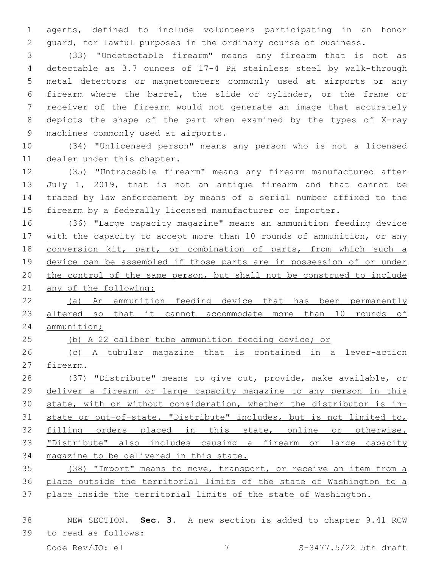agents, defined to include volunteers participating in an honor guard, for lawful purposes in the ordinary course of business.

 (33) "Undetectable firearm" means any firearm that is not as detectable as 3.7 ounces of 17-4 PH stainless steel by walk-through metal detectors or magnetometers commonly used at airports or any firearm where the barrel, the slide or cylinder, or the frame or receiver of the firearm would not generate an image that accurately depicts the shape of the part when examined by the types of X-ray 9 machines commonly used at airports.

 (34) "Unlicensed person" means any person who is not a licensed 11 dealer under this chapter.

 (35) "Untraceable firearm" means any firearm manufactured after July 1, 2019, that is not an antique firearm and that cannot be traced by law enforcement by means of a serial number affixed to the firearm by a federally licensed manufacturer or importer.

 (36) "Large capacity magazine" means an ammunition feeding device 17 with the capacity to accept more than 10 rounds of ammunition, or any conversion kit, part, or combination of parts, from which such a device can be assembled if those parts are in possession of or under the control of the same person, but shall not be construed to include any of the following:

 (a) An ammunition feeding device that has been permanently 23 altered so that it cannot accommodate more than 10 rounds of ammunition;

(b) A 22 caliber tube ammunition feeding device; or

26 (c) A tubular magazine that is contained in a lever-action firearm.

 (37) "Distribute" means to give out, provide, make available, or deliver a firearm or large capacity magazine to any person in this state, with or without consideration, whether the distributor is in- state or out-of-state. "Distribute" includes, but is not limited to, filling orders placed in this state, online or otherwise. "Distribute" also includes causing a firearm or large capacity magazine to be delivered in this state.

 (38) "Import" means to move, transport, or receive an item from a place outside the territorial limits of the state of Washington to a place inside the territorial limits of the state of Washington.

 NEW SECTION. **Sec. 3.** A new section is added to chapter 9.41 RCW to read as follows:39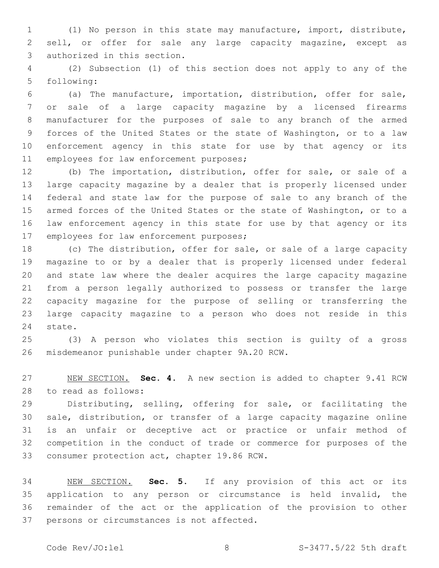(1) No person in this state may manufacture, import, distribute, sell, or offer for sale any large capacity magazine, except as 3 authorized in this section.

 (2) Subsection (1) of this section does not apply to any of the 5 following:

 (a) The manufacture, importation, distribution, offer for sale, or sale of a large capacity magazine by a licensed firearms manufacturer for the purposes of sale to any branch of the armed forces of the United States or the state of Washington, or to a law enforcement agency in this state for use by that agency or its 11 employees for law enforcement purposes;

 (b) The importation, distribution, offer for sale, or sale of a large capacity magazine by a dealer that is properly licensed under federal and state law for the purpose of sale to any branch of the armed forces of the United States or the state of Washington, or to a law enforcement agency in this state for use by that agency or its 17 employees for law enforcement purposes;

 (c) The distribution, offer for sale, or sale of a large capacity magazine to or by a dealer that is properly licensed under federal and state law where the dealer acquires the large capacity magazine from a person legally authorized to possess or transfer the large capacity magazine for the purpose of selling or transferring the large capacity magazine to a person who does not reside in this 24 state.

 (3) A person who violates this section is guilty of a gross misdemeanor punishable under chapter 9A.20 RCW.26

 NEW SECTION. **Sec. 4.** A new section is added to chapter 9.41 RCW to read as follows:28

 Distributing, selling, offering for sale, or facilitating the sale, distribution, or transfer of a large capacity magazine online is an unfair or deceptive act or practice or unfair method of competition in the conduct of trade or commerce for purposes of the 33 consumer protection act, chapter 19.86 RCW.

 NEW SECTION. **Sec. 5.** If any provision of this act or its application to any person or circumstance is held invalid, the remainder of the act or the application of the provision to other persons or circumstances is not affected.

 $\text{Code } \text{Rev}/\text{JO:} \text{lel}$   $8$   $8-\frac{3477.5}{22}$  5th draft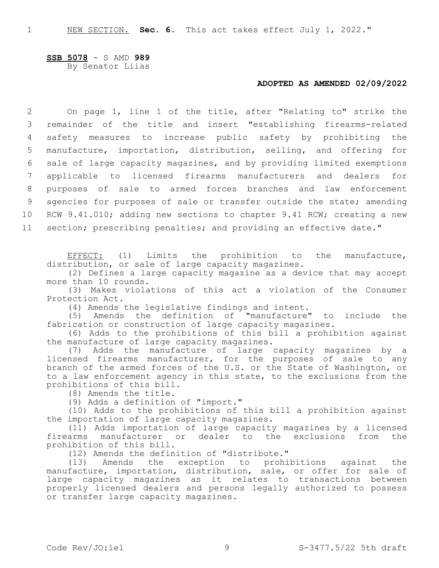**SSB 5078** - S AMD **989** By Senator Liias

## **ADOPTED AS AMENDED 02/09/2022**

 On page 1, line 1 of the title, after "Relating to" strike the remainder of the title and insert "establishing firearms-related safety measures to increase public safety by prohibiting the manufacture, importation, distribution, selling, and offering for sale of large capacity magazines, and by providing limited exemptions applicable to licensed firearms manufacturers and dealers for purposes of sale to armed forces branches and law enforcement agencies for purposes of sale or transfer outside the state; amending RCW 9.41.010; adding new sections to chapter 9.41 RCW; creating a new 11 section; prescribing penalties; and providing an effective date."

EFFECT: (1) Limits the prohibition to the manufacture, distribution, or sale of large capacity magazines.

(2) Defines a large capacity magazine as a device that may accept more than 10 rounds.

(3) Makes violations of this act a violation of the Consumer Protection Act.

(4) Amends the legislative findings and intent.

(5) Amends the definition of "manufacture" to include the fabrication or construction of large capacity magazines.

(6) Adds to the prohibitions of this bill a prohibition against the manufacture of large capacity magazines.

(7) Adds the manufacture of large capacity magazines by a licensed firearms manufacturer, for the purposes of sale to any branch of the armed forces of the U.S. or the State of Washington, or to a law enforcement agency in this state, to the exclusions from the prohibitions of this bill.

(8) Amends the title.

(9) Adds a definition of "import."

(10) Adds to the prohibitions of this bill a prohibition against the importation of large capacity magazines.

(11) Adds importation of large capacity magazines by a licensed firearms manufacturer or dealer to the exclusions from the prohibition of this bill.

(12) Amends the definition of "distribute."

(13) Amends the exception to prohibitions against the manufacture, importation, distribution, sale, or offer for sale of large capacity magazines as it relates to transactions between properly licensed dealers and persons legally authorized to possess or transfer large capacity magazines.